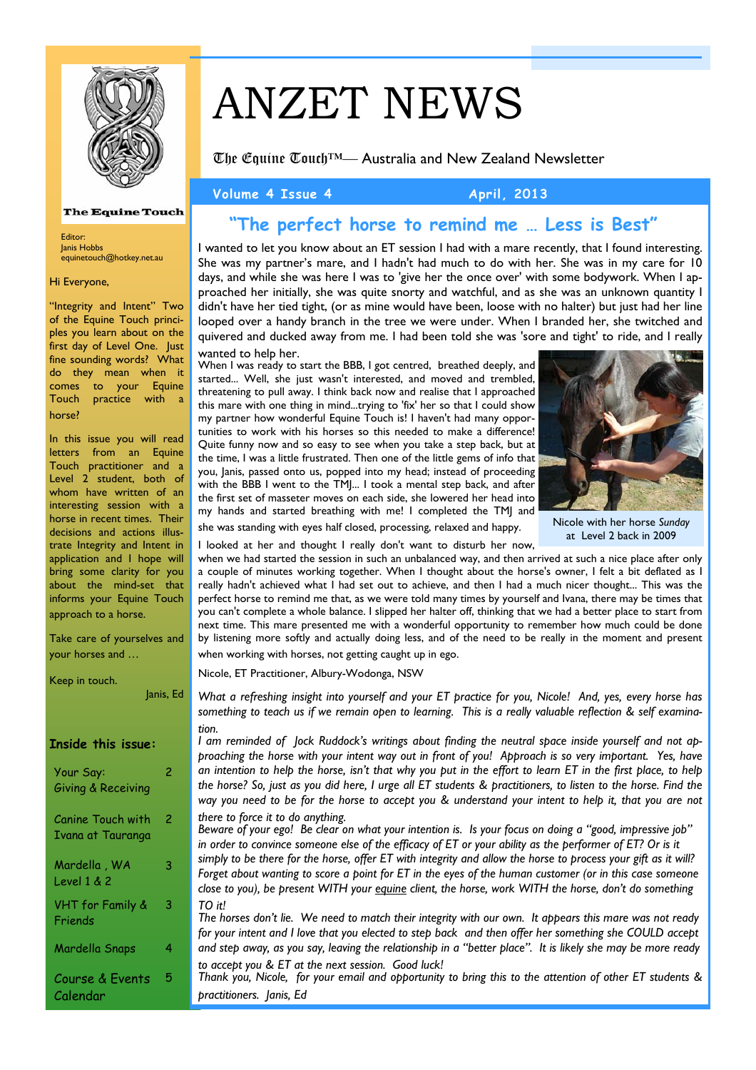

### **The Equine Touch**

Editor: Janis Hobbs equinetouch@hotkey.net.au

Hi Everyone,

"Integrity and Intent" Two of the Equine Touch principles you learn about on the first day of Level One. Just fine sounding words? What do they mean when it comes to your Equine Touch practice with a horse?

In this issue you will read letters from an Equine Touch practitioner and a Level 2 student, both of whom have written of an interesting session with a horse in recent times. Their decisions and actions illustrate Integrity and Intent in application and I hope will bring some clarity for you about the mind-set that informs your Equine Touch approach to a horse.

Take care of yourselves and your horses and …

Janis, Ed

Keep in touch.

| Inside this issue:                     |   |
|----------------------------------------|---|
| Your Say:<br>Giving & Receiving        | 2 |
| Canine Touch with<br>Ivana at Tauranga | 2 |
| Mardella , WA<br>Level 1 & 2           | 3 |
| <b>VHT</b> for Family &<br>Friends     | 3 |
| Mardella Snaps                         | 4 |
| Course & Events<br>Calendar            | 5 |

# ANZET NEWS

The Equine Touch™— Australia and New Zealand Newsletter

Volume 4 Issue 4 **April**, 2013

# **"The perfect horse to remind me … Less is Best"**

I wanted to let you know about an ET session I had with a mare recently, that I found interesting. She was my partner's mare, and I hadn't had much to do with her. She was in my care for 10 days, and while she was here I was to 'give her the once over' with some bodywork. When I approached her initially, she was quite snorty and watchful, and as she was an unknown quantity I didn't have her tied tight, (or as mine would have been, loose with no halter) but just had her line looped over a handy branch in the tree we were under. When I branded her, she twitched and quivered and ducked away from me. I had been told she was 'sore and tight' to ride, and I really

### wanted to help her.

When I was ready to start the BBB, I got centred, breathed deeply, and started... Well, she just wasn't interested, and moved and trembled, threatening to pull away. I think back now and realise that I approached this mare with one thing in mind...trying to 'fix' her so that I could show my partner how wonderful Equine Touch is! I haven't had many opportunities to work with his horses so this needed to make a difference! Quite funny now and so easy to see when you take a step back, but at the time, I was a little frustrated. Then one of the little gems of info that you, Janis, passed onto us, popped into my head; instead of proceeding with the BBB I went to the TMJ... I took a mental step back, and after the first set of masseter moves on each side, she lowered her head into my hands and started breathing with me! I completed the TMJ and



Nicole with her horse *Sunday*  at Level 2 back in 2009

she was standing with eyes half closed, processing, relaxed and happy.

I looked at her and thought I really don't want to disturb her now, when we had started the session in such an unbalanced way, and then arrived at such a nice place after only

a couple of minutes working together. When I thought about the horse's owner, I felt a bit deflated as I really hadn't achieved what I had set out to achieve, and then I had a much nicer thought... This was the perfect horse to remind me that, as we were told many times by yourself and Ivana, there may be times that you can't complete a whole balance. I slipped her halter off, thinking that we had a better place to start from next time. This mare presented me with a wonderful opportunity to remember how much could be done by listening more softly and actually doing less, and of the need to be really in the moment and present when working with horses, not getting caught up in ego.

Nicole, ET Practitioner, Albury-Wodonga, NSW

*What a refreshing insight into yourself and your ET practice for you, Nicole! And, yes, every horse has something to teach us if we remain open to learning. This is a really valuable reflection & self examination.* 

*I am reminded of Jock Ruddock's writings about finding the neutral space inside yourself and not approaching the horse with your intent way out in front of you! Approach is so very important. Yes, have an intention to help the horse, isn't that why you put in the effort to learn ET in the first place, to help the horse? So, just as you did here, I urge all ET students & practitioners, to listen to the horse. Find the way you need to be for the horse to accept you & understand your intent to help it, that you are not there to force it to do anything.* 

*Beware of your ego! Be clear on what your intention is. Is your focus on doing a "good, impressive job" in order to convince someone else of the efficacy of ET or your ability as the performer of ET? Or is it simply to be there for the horse, offer ET with integrity and allow the horse to process your gift as it will? Forget about wanting to score a point for ET in the eyes of the human customer (or in this case someone close to you), be present WITH your equine client, the horse, work WITH the horse, don't do something TO it!* 

*The horses don't lie. We need to match their integrity with our own. It appears this mare was not ready for your intent and I love that you elected to step back and then offer her something she COULD accept and step away, as you say, leaving the relationship in a "better place". It is likely she may be more ready to accept you & ET at the next session. Good luck!* 

*Thank you, Nicole, for your email and opportunity to bring this to the attention of other ET students & practitioners. Janis, Ed*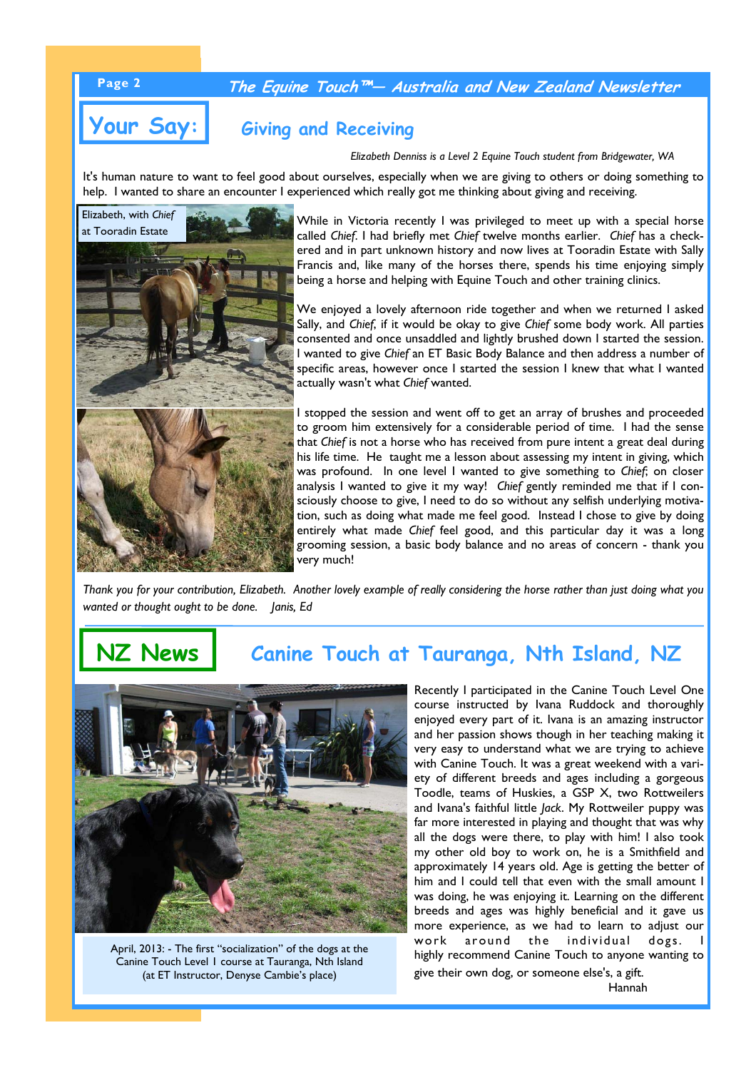## **Page 2 The Equine Touch™— Australia and New Zealand Newsletter**

# **Your Say: Giving and Receiving**

*Elizabeth Denniss is a Level 2 Equine Touch student from Bridgewater, WA* 

It's human nature to want to feel good about ourselves, especially when we are giving to others or doing something to help. I wanted to share an encounter I experienced which really got me thinking about giving and receiving.



While in Victoria recently I was privileged to meet up with a special horse called *Chief*. I had briefly met *Chief* twelve months earlier. *Chief* has a checkered and in part unknown history and now lives at Tooradin Estate with Sally Francis and, like many of the horses there, spends his time enjoying simply being a horse and helping with Equine Touch and other training clinics.

We enjoyed a lovely afternoon ride together and when we returned I asked Sally, and *Chief*, if it would be okay to give *Chief* some body work. All parties consented and once unsaddled and lightly brushed down I started the session. I wanted to give *Chief* an ET Basic Body Balance and then address a number of specific areas, however once I started the session I knew that what I wanted actually wasn't what *Chief* wanted.

I stopped the session and went off to get an array of brushes and proceeded to groom him extensively for a considerable period of time. I had the sense that *Chief* is not a horse who has received from pure intent a great deal during his life time. He taught me a lesson about assessing my intent in giving, which was profound. In one level I wanted to give something to *Chief*; on closer analysis I wanted to give it my way! *Chief* gently reminded me that if I consciously choose to give, I need to do so without any selfish underlying motivation, such as doing what made me feel good. Instead I chose to give by doing entirely what made *Chief* feel good, and this particular day it was a long grooming session, a basic body balance and no areas of concern - thank you very much!

*Thank you for your contribution, Elizabeth. Another lovely example of really considering the horse rather than just doing what you wanted or thought ought to be done. Janis, Ed* 

# **NZ News Canine Touch at Tauranga, Nth Island, NZ**



April, 2013: - The first "socialization" of the dogs at the Canine Touch Level 1 course at Tauranga, Nth Island (at ET Instructor, Denyse Cambie's place)

Recently I participated in the Canine Touch Level One course instructed by Ivana Ruddock and thoroughly enjoyed every part of it. Ivana is an amazing instructor and her passion shows though in her teaching making it very easy to understand what we are trying to achieve with Canine Touch. It was a great weekend with a variety of different breeds and ages including a gorgeous Toodle, teams of Huskies, a GSP X, two Rottweilers and Ivana's faithful little *Jack*. My Rottweiler puppy was far more interested in playing and thought that was why all the dogs were there, to play with him! I also took my other old boy to work on, he is a Smithfield and approximately 14 years old. Age is getting the better of him and I could tell that even with the small amount I was doing, he was enjoying it. Learning on the different breeds and ages was highly beneficial and it gave us more experience, as we had to learn to adjust our work around the individual dogs. highly recommend Canine Touch to anyone wanting to give their own dog, or someone else's, a gift.

Hannah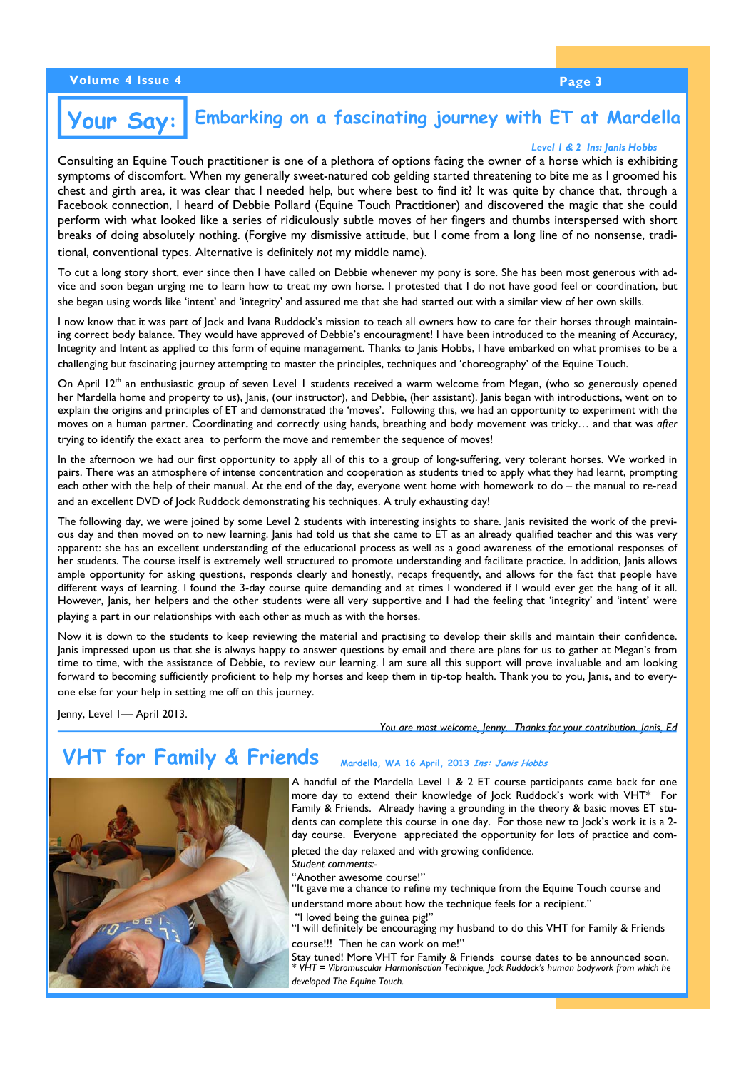### **Embarking on a fascinating journey with ET at Mardella Your Say:**

### *Level 1 & 2 Ins: Janis Hobbs*

Consulting an Equine Touch practitioner is one of a plethora of options facing the owner of a horse which is exhibiting symptoms of discomfort. When my generally sweet-natured cob gelding started threatening to bite me as I groomed his chest and girth area, it was clear that I needed help, but where best to find it? It was quite by chance that, through a Facebook connection, I heard of Debbie Pollard (Equine Touch Practitioner) and discovered the magic that she could perform with what looked like a series of ridiculously subtle moves of her fingers and thumbs interspersed with short breaks of doing absolutely nothing. (Forgive my dismissive attitude, but I come from a long line of no nonsense, traditional, conventional types. Alternative is definitely *not* my middle name).

To cut a long story short, ever since then I have called on Debbie whenever my pony is sore. She has been most generous with advice and soon began urging me to learn how to treat my own horse. I protested that I do not have good feel or coordination, but she began using words like 'intent' and 'integrity' and assured me that she had started out with a similar view of her own skills.

I now know that it was part of Jock and Ivana Ruddock's mission to teach all owners how to care for their horses through maintaining correct body balance. They would have approved of Debbie's encouragment! I have been introduced to the meaning of Accuracy, Integrity and Intent as applied to this form of equine management. Thanks to Janis Hobbs, I have embarked on what promises to be a challenging but fascinating journey attempting to master the principles, techniques and 'choreography' of the Equine Touch.

On April  $12<sup>th</sup>$  an enthusiastic group of seven Level 1 students received a warm welcome from Megan, (who so generously opened her Mardella home and property to us), Janis, (our instructor), and Debbie, (her assistant). Janis began with introductions, went on to explain the origins and principles of ET and demonstrated the 'moves'. Following this, we had an opportunity to experiment with the moves on a human partner. Coordinating and correctly using hands, breathing and body movement was tricky… and that was *after* trying to identify the exact area to perform the move and remember the sequence of moves!

In the afternoon we had our first opportunity to apply all of this to a group of long-suffering, very tolerant horses. We worked in pairs. There was an atmosphere of intense concentration and cooperation as students tried to apply what they had learnt, prompting each other with the help of their manual. At the end of the day, everyone went home with homework to do – the manual to re-read and an excellent DVD of Jock Ruddock demonstrating his techniques. A truly exhausting day!

The following day, we were joined by some Level 2 students with interesting insights to share. Janis revisited the work of the previous day and then moved on to new learning. Janis had told us that she came to ET as an already qualified teacher and this was very apparent: she has an excellent understanding of the educational process as well as a good awareness of the emotional responses of her students. The course itself is extremely well structured to promote understanding and facilitate practice. In addition, Janis allows ample opportunity for asking questions, responds clearly and honestly, recaps frequently, and allows for the fact that people have different ways of learning. I found the 3-day course quite demanding and at times I wondered if I would ever get the hang of it all. However, Janis, her helpers and the other students were all very supportive and I had the feeling that 'integrity' and 'intent' were playing a part in our relationships with each other as much as with the horses.

Now it is down to the students to keep reviewing the material and practising to develop their skills and maintain their confidence. Janis impressed upon us that she is always happy to answer questions by email and there are plans for us to gather at Megan's from time to time, with the assistance of Debbie, to review our learning. I am sure all this support will prove invaluable and am looking forward to becoming sufficiently proficient to help my horses and keep them in tip-top health. Thank you to you, Janis, and to everyone else for your help in setting me off on this journey.

Jenny, Level 1— April 2013.

*You are most welcome, Jenny. Thanks for your contribution. Janis, Ed* 

# **VHT for Family & Friends Mardella, WA 16 April, 2013 Ins: Janis Hobbs**

A handful of the Mardella Level 1 & 2 ET course participants came back for one more day to extend their knowledge of Jock Ruddock's work with VHT\* For Family & Friends. Already having a grounding in the theory & basic moves ET students can complete this course in one day. For those new to Jock's work it is a 2 day course. Everyone appreciated the opportunity for lots of practice and completed the day relaxed and with growing confidence.

*Student comments:-* 

"Another awesome course!"

"It gave me a chance to refine my technique from the Equine Touch course and

understand more about how the technique feels for a recipient." "I loved being the guinea pig!"

"I will definitely be encouraging my husband to do this VHT for Family & Friends course!!! Then he can work on me!"

Stay tuned! More VHT for Family & Friends course dates to be announced soon. *\* VHT = Vibromuscular Harmonisation Technique, Jock Ruddock's human bodywork from which he developed The Equine Touch.*